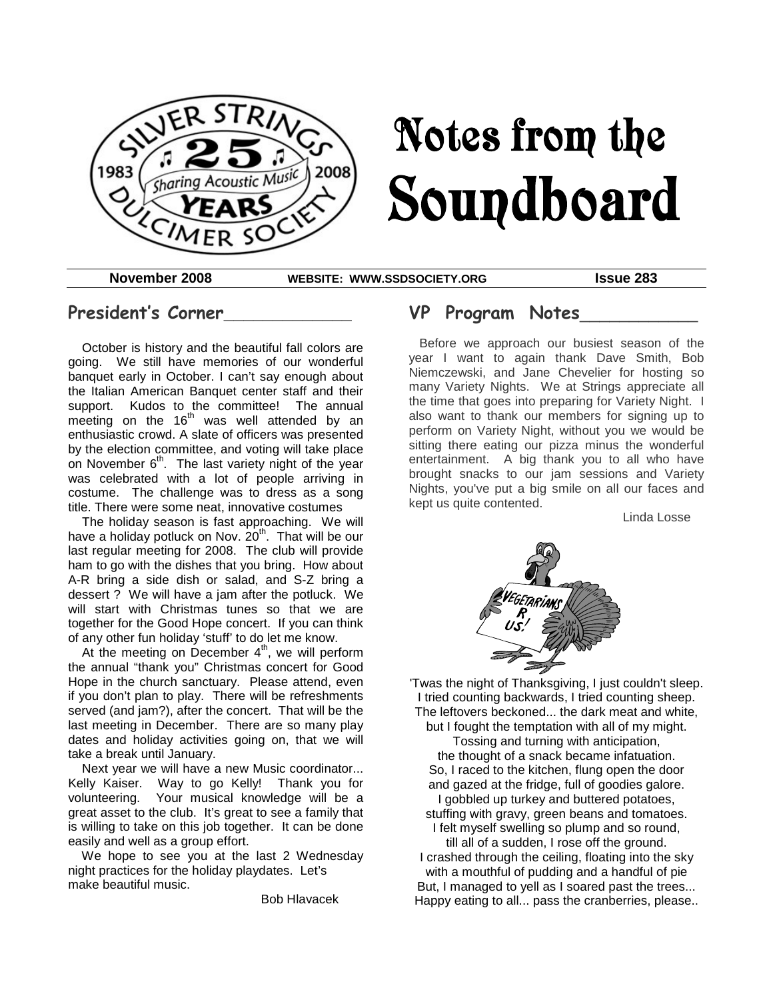

# Notes from the Soundboard

**November 2008 WEBSITE: WWW.SSDSOCIETY.ORG Issue 283**

## **President's Corner\_\_\_\_\_\_\_\_\_\_\_\_\_**

October is history and the beautiful fall colors are going. We still have memories of our wonderful banquet early in October. I can't say enough about the Italian American Banquet center staff and their support. Kudos to the committee! The annual meeting on the  $16<sup>th</sup>$  was well attended by an enthusiastic crowd. A slate of officers was presented by the election committee, and voting will take place on November  $6<sup>th</sup>$ . The last variety night of the year was celebrated with a lot of people arriving in costume. The challenge was to dress as a song title. There were some neat, innovative costumes

The holiday season is fast approaching. We will have a holiday potluck on Nov. 20<sup>th</sup>. That will be our last regular meeting for 2008. The club will provide ham to go with the dishes that you bring. How about A-R bring a side dish or salad, and S-Z bring a dessert ? We will have a jam after the potluck. We will start with Christmas tunes so that we are together for the Good Hope concert. If you can think of any other fun holiday 'stuff' to do let me know.

At the meeting on December  $4<sup>th</sup>$ , we will perform the annual "thank you" Christmas concert for Good Hope in the church sanctuary. Please attend, even if you don't plan to play. There will be refreshments served (and jam?), after the concert. That will be the last meeting in December. There are so many play dates and holiday activities going on, that we will take a break until January.

Next year we will have a new Music coordinator... Kelly Kaiser. Way to go Kelly! Thank you for volunteering. Your musical knowledge will be a great asset to the club. It's great to see a family that is willing to take on this job together. It can be done easily and well as a group effort.

We hope to see you at the last 2 Wednesday night practices for the holiday playdates. Let's make beautiful music.

Bob Hlavacek

## **VP Program Notes**\_\_\_\_\_\_\_\_\_\_\_\_

Before we approach our busiest season of the year I want to again thank Dave Smith, Bob Niemczewski, and Jane Chevelier for hosting so many Variety Nights. We at Strings appreciate all the time that goes into preparing for Variety Night. I also want to thank our members for signing up to perform on Variety Night, without you we would be sitting there eating our pizza minus the wonderful entertainment. A big thank you to all who have brought snacks to our jam sessions and Variety Nights, you've put a big smile on all our faces and kept us quite contented.

Linda Losse



'Twas the night of Thanksgiving, I just couldn't sleep. I tried counting backwards, I tried counting sheep. The leftovers beckoned... the dark meat and white, but I fought the temptation with all of my might. Tossing and turning with anticipation, the thought of a snack became infatuation. So, I raced to the kitchen, flung open the door and gazed at the fridge, full of goodies galore. I gobbled up turkey and buttered potatoes, stuffing with gravy, green beans and tomatoes. I felt myself swelling so plump and so round, till all of a sudden, I rose off the ground. I crashed through the ceiling, floating into the sky with a mouthful of pudding and a handful of pie But, I managed to yell as I soared past the trees...

Happy eating to all... pass the cranberries, please..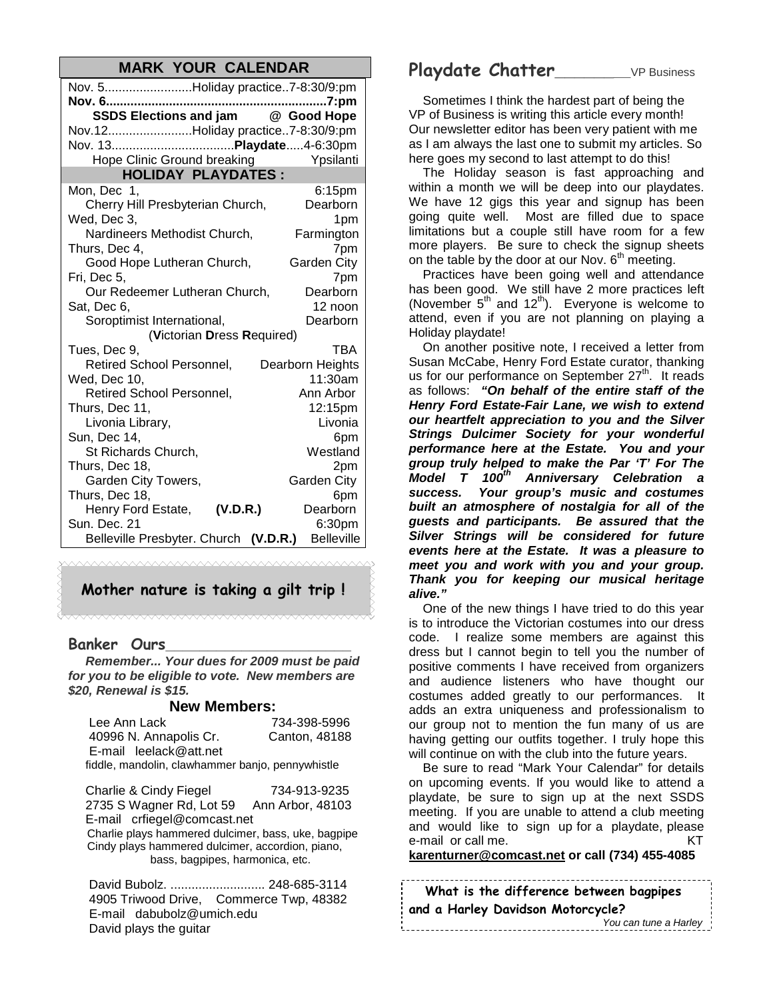## **MARK YOUR CALENDAR**

| Nov. 5Holiday practice7-8:30/9:pm     |                    |  |  |
|---------------------------------------|--------------------|--|--|
|                                       | 7:pm               |  |  |
| SSDS Elections and jam @ Good Hope    |                    |  |  |
| Nov.12Holiday practice7-8:30/9:pm     |                    |  |  |
|                                       |                    |  |  |
| Hope Clinic Ground breaking           | Ypsilanti          |  |  |
| <b>HOLIDAY PLAYDATES:</b>             |                    |  |  |
| Mon, Dec 1,                           | 6:15pm             |  |  |
| Cherry Hill Presbyterian Church,      | Dearborn           |  |  |
| Wed, Dec 3,                           | 1pm                |  |  |
| Nardineers Methodist Church,          | Farmington         |  |  |
| Thurs. Dec 4.                         | 7pm                |  |  |
| Good Hope Lutheran Church,            | Garden City        |  |  |
| Fri, Dec 5,                           | 7pm                |  |  |
| Our Redeemer Lutheran Church,         | Dearborn           |  |  |
| Sat, Dec 6,                           | 12 noon            |  |  |
| Soroptimist International,            | Dearborn           |  |  |
| (Victorian Dress Required)            |                    |  |  |
| Tues, Dec 9,                          | TBA                |  |  |
| <b>Retired School Personnel,</b>      | Dearborn Heights   |  |  |
| Wed, Dec 10,                          | 11:30am            |  |  |
| <b>Retired School Personnel,</b>      | Ann Arbor          |  |  |
| Thurs, Dec 11,                        | 12:15pm            |  |  |
| Livonia Library,                      | Livonia            |  |  |
| Sun, Dec 14,                          | 6pm                |  |  |
| St Richards Church,                   | Westland           |  |  |
| Thurs, Dec 18,                        | 2pm                |  |  |
| Garden City Towers,                   | <b>Garden City</b> |  |  |
| Thurs, Dec 18,                        | 6pm                |  |  |
| Henry Ford Estate, (V.D.R.)           | Dearborn           |  |  |
| Sun. Dec. 21                          | 6:30pm             |  |  |
| Belleville Presbyter. Church (V.D.R.) | <b>Belleville</b>  |  |  |

## **Mother nature is taking a gilt trip !**

### **Banker Ours\_\_\_\_\_\_\_\_\_\_\_\_\_\_\_\_\_\_\_\_\_\_**

*Remember... Your dues for 2009 must be paid for you to be eligible to vote. New members are \$20, Renewal is \$15.*

#### **New Members:**

| Lee Ann Lack                                     | 734-398-5996  |
|--------------------------------------------------|---------------|
| 40996 N. Annapolis Cr.                           | Canton, 48188 |
| E-mail leelack@att.net                           |               |
| fiddle, mandolin, clawhammer banjo, pennywhistle |               |

Charlie & Cindy Fiegel 734-913-9235 2735 S Wagner Rd, Lot 59 Ann Arbor, 48103 E-mail crfiegel@comcast.net Charlie plays hammered dulcimer, bass, uke, bagpipe Cindy plays hammered dulcimer, accordion, piano, bass, bagpipes, harmonica, etc.

David Bubolz. ........................... 248-685-3114 4905 Triwood Drive, Commerce Twp, 48382 E-mail dabubolz@umich.edu David plays the guitar

## **Playdate Chatter\_\_\_\_\_\_\_\_**VP Business

Sometimes I think the hardest part of being the VP of Business is writing this article every month! Our newsletter editor has been very patient with me as I am always the last one to submit my articles. So here goes my second to last attempt to do this!

The Holiday season is fast approaching and within a month we will be deep into our playdates. We have 12 gigs this year and signup has been going quite well. Most are filled due to space limitations but a couple still have room for a few more players. Be sure to check the signup sheets on the table by the door at our Nov. 6<sup>th</sup> meeting.

Practices have been going well and attendance has been good. We still have 2 more practices left (November  $5<sup>th</sup>$  and  $12<sup>th</sup>$ ). Everyone is welcome to attend, even if you are not planning on playing a Holiday playdate!

On another positive note, I received a letter from Susan McCabe, Henry Ford Estate curator, thanking us for our performance on September  $27<sup>th</sup>$ . It reads as follows: *"On behalf of the entire staff of the Henry Ford Estate-Fair Lane, we wish to extend our heartfelt appreciation to you and the Silver Strings Dulcimer Society for your wonderful performance here at the Estate. You and your group truly helped to make the Par 'T' For The Model T 100th Anniversary Celebration a success. Your group's music and costumes built an atmosphere of nostalgia for all of the guests and participants. Be assured that the Silver Strings will be considered for future events here at the Estate. It was a pleasure to meet you and work with you and your group. Thank you for keeping our musical heritage alive."*

One of the new things I have tried to do this year is to introduce the Victorian costumes into our dress code. I realize some members are against this dress but I cannot begin to tell you the number of positive comments I have received from organizers and audience listeners who have thought our costumes added greatly to our performances. It adds an extra uniqueness and professionalism to our group not to mention the fun many of us are having getting our outfits together. I truly hope this will continue on with the club into the future years.

Be sure to read "Mark Your Calendar" for details on upcoming events. If you would like to attend a playdate, be sure to sign up at the next SSDS meeting. If you are unable to attend a club meeting and would like to sign up for a playdate, please e-mail or call me. KT

**karenturner@comcast.net or call (734) 455-4085**

| What is the difference between bagpipes<br>and a Harley Davidson Motorcycle? |                       |  |  |
|------------------------------------------------------------------------------|-----------------------|--|--|
|                                                                              | You can tune a Harley |  |  |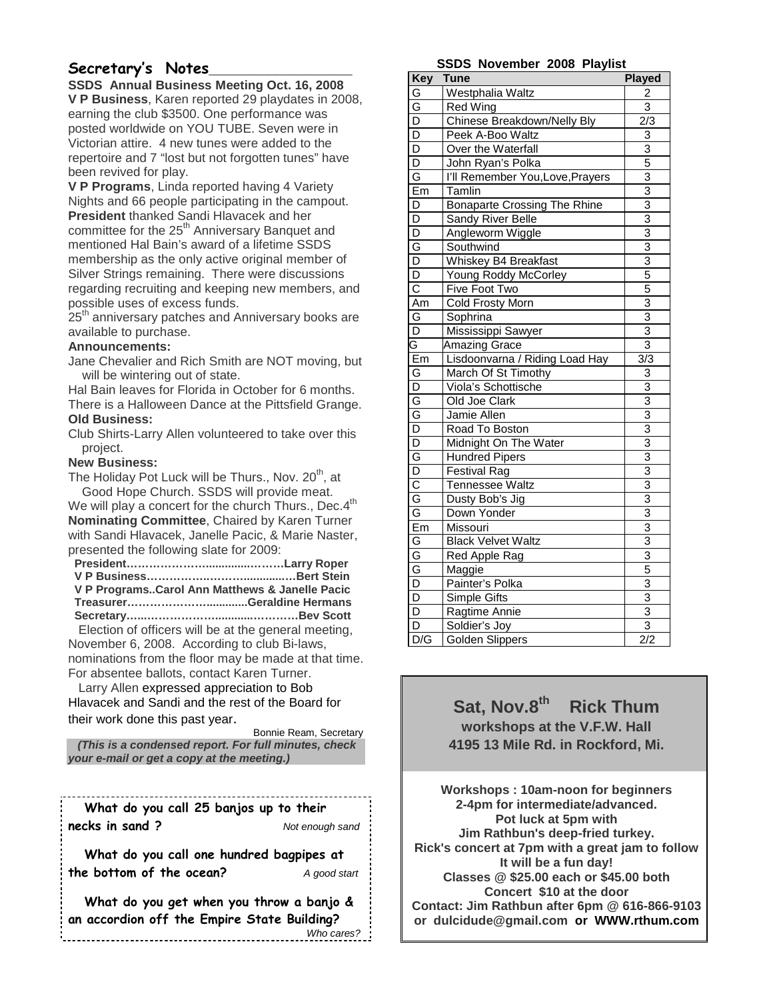## **Secretary's Notes\_\_\_\_\_\_\_\_\_\_\_\_\_\_\_\_\_**

**SSDS Annual Business Meeting Oct. 16, 2008 V P Business**, Karen reported 29 playdates in 2008, earning the club \$3500. One performance was posted worldwide on YOU TUBE. Seven were in Victorian attire. 4 new tunes were added to the repertoire and 7 "lost but not forgotten tunes" have been revived for play.

**V P Programs**, Linda reported having 4 Variety Nights and 66 people participating in the campout. **President** thanked Sandi Hlavacek and her committee for the 25<sup>th</sup> Anniversary Banquet and mentioned Hal Bain's award of a lifetime SSDS membership as the only active original member of Silver Strings remaining. There were discussions regarding recruiting and keeping new members, and possible uses of excess funds.

25<sup>th</sup> anniversary patches and Anniversary books are available to purchase.

#### **Announcements:**

Jane Chevalier and Rich Smith are NOT moving, but will be wintering out of state.

Hal Bain leaves for Florida in October for 6 months. There is a Halloween Dance at the Pittsfield Grange. **Old Business:**

Club Shirts-Larry Allen volunteered to take over this project.

#### **New Business:**

The Holiday Pot Luck will be Thurs., Nov. 20 $^{\rm th}$ , at Good Hope Church. SSDS will provide meat.

We will play a concert for the church Thurs., Dec.4<sup>th</sup> **Nominating Committee**, Chaired by Karen Turner with Sandi Hlavacek, Janelle Pacic, & Marie Naster, presented the following slate for 2009:

| V P ProgramsCarol Ann Matthews & Janelle Pacic                             |  |
|----------------------------------------------------------------------------|--|
|                                                                            |  |
|                                                                            |  |
| . The attainment of the space codifficial and the component and stationary |  |

Election of officers will be at the general meeting, November 6, 2008. According to club Bi-laws, nominations from the floor may be made at that time. For absentee ballots, contact Karen Turner.

Larry Allen expressed appreciation to Bob Hlavacek and Sandi and the rest of the Board for their work done this past year.

Bonnie Ream, Secretary *(This is a condensed report. For full minutes, check your e-mail or get a copy at the meeting.)*

**What do you call 25 banjos up to their necks in sand ?** *Not enough sand*

**What do you call one hundred bagpipes at the bottom of the ocean?** *A good start*

**What do you get when you throw a banjo & an accordion off the Empire State Building?** *Who cares?*

#### **SSDS November 2008 Playlist**

| Key                     | <b>Tune</b>                         | <b>Played</b>             |
|-------------------------|-------------------------------------|---------------------------|
| G                       | Westphalia Waltz                    | 2                         |
| G                       | Red Wing                            | $\overline{\overline{3}}$ |
| $\overline{D}$          | Chinese Breakdown/Nelly Bly         | 2/3                       |
| $\overline{D}$          | Peek A-Boo Waltz                    | 3                         |
| $\overline{D}$          | Over the Waterfall                  | $\overline{3}$            |
| D                       | John Ryan's Polka                   | 5                         |
| G                       | I'll Remember You, Love, Prayers    | 3                         |
| Em                      | Tamlin                              | 3                         |
| $\overline{\mathsf{D}}$ | <b>Bonaparte Crossing The Rhine</b> | $\overline{3}$            |
| $\overline{\mathsf{D}}$ | Sandy River Belle                   | $\overline{3}$            |
| $\overline{\mathsf{D}}$ | Angleworm Wiggle                    | $\overline{3}$            |
| G                       | Southwind                           | $\frac{3}{3}$             |
| $\overline{\mathsf{D}}$ | Whiskey B4 Breakfast                |                           |
| $\overline{\mathsf{D}}$ | <b>Young Roddy McCorley</b>         | 5                         |
| $\overline{\text{c}}$   | Five Foot Two                       | $\overline{5}$            |
| Am                      | Cold Frosty Morn                    | 3                         |
| G                       | Sophrina                            | $\overline{3}$            |
| $\overline{D}$          | Mississippi Sawyer                  | $\overline{3}$            |
| G                       | <b>Amazing Grace</b>                | $\overline{3}$            |
| Em                      | Lisdoonvarna / Riding Load Hay      | $\overline{3/3}$          |
| G                       | March Of St Timothy                 | 3                         |
| $\overline{\mathsf{D}}$ | Viola's Schottische                 | 3                         |
| G                       | Old Joe Clark                       | $\overline{3}$            |
| G                       | Jamie Allen                         | 3                         |
| $\overline{\mathsf{D}}$ | Road To Boston                      | 3                         |
| D                       | Midnight On The Water               | $\overline{3}$            |
| G                       | <b>Hundred Pipers</b>               | 3                         |
| $\overline{\mathsf{D}}$ | <b>Festival Rag</b>                 | 3                         |
| $\overline{\text{c}}$   | Tennessee Waltz                     | 3                         |
| G                       | Dusty Bob's Jig                     | $\overline{3}$            |
| G                       | Down Yonder                         | $\overline{3}$            |
| Em                      | Missouri                            | $\overline{3}$            |
| G                       | <b>Black Velvet Waltz</b>           | $\overline{3}$            |
| G                       | Red Apple Rag                       | $\overline{3}$            |
| G                       | Maggie                              | 5                         |
| $\overline{\mathsf{D}}$ | Painter's Polka                     | $\overline{3}$            |
| $\overline{D}$          | Simple Gifts                        | $\overline{3}$            |
| $\overline{D}$          | Ragtime Annie                       | $\frac{3}{3}$             |
| $\overline{\mathsf{D}}$ | Soldier's Joy                       |                           |
| D/G                     | Golden Slippers                     | 2/2                       |

**Sat, Nov.8th Rick Thum workshops at the V.F.W. Hall 4195 13 Mile Rd. in Rockford, Mi.**

**Workshops : 10am-noon for beginners 2-4pm for intermediate/advanced. Pot luck at 5pm with Jim Rathbun's deep-fried turkey. Rick's concert at 7pm with a great jam to follow It will be a fun day! Classes @ \$25.00 each or \$45.00 both Concert \$10 at the door Contact: Jim Rathbun after 6pm @ 616-866-9103 or dulcidude@gmail.com or WWW.rthum.com**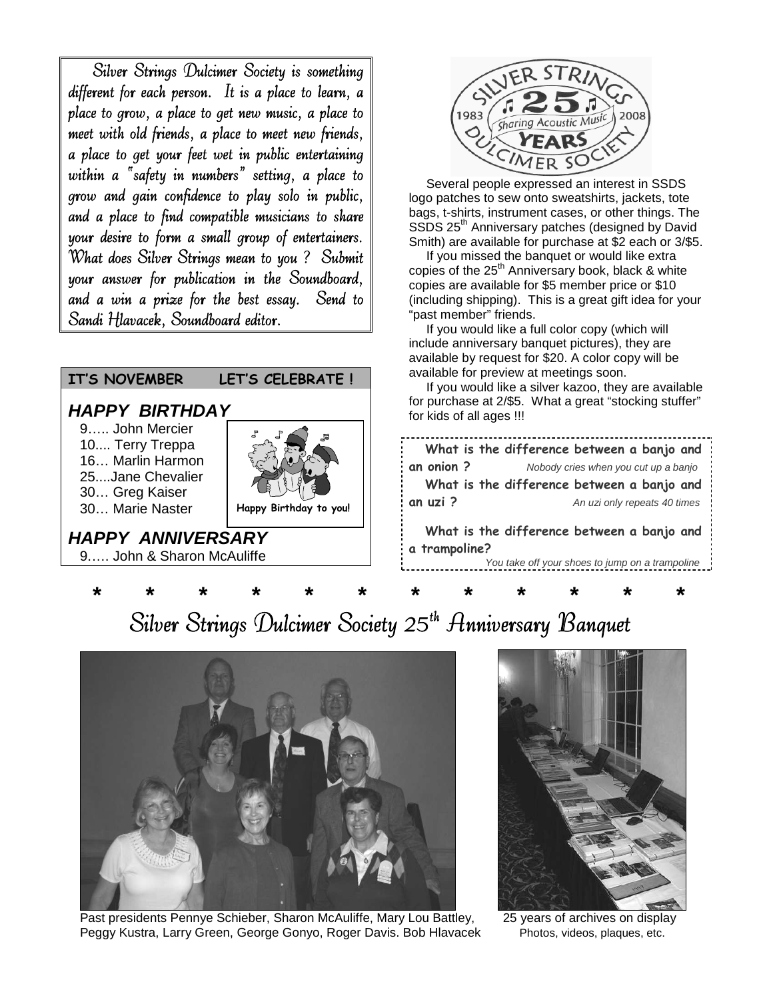Silver Strings Dulcimer Society is something different for each person. It is a place to learn, a place to grow, a place to get new music, a place to meet with old friends, a place to meet new friends, a place to get your feet wet in public entertaining within a "safety in numbers" setting, a place to grow and gain confidence to play solo in public, and a place to find compatible musicians to share your desire to form a small group of entertainers. What does Silver Strings mean to you ? Submit your answer for publication in the Soundboard, and a win a prize for the best essay. Send to Sandi Hlavacek, Soundboard editor.

## **IT'S NOVEMBER LET'S CELEBRATE !**

## *HAPPY BIRTHDAY*

9….. John Mercier 10.... Terry Treppa 16… Marlin Harmon 25....Jane Chevalier 30… Greg Kaiser 30… Marie Naster



## *HAPPY ANNIVERSARY*

9.…. John & Sharon McAuliffe



Several people expressed an interest in SSDS logo patches to sew onto sweatshirts, jackets, tote bags, t-shirts, instrument cases, or other things. The SSDS 25<sup>th</sup> Anniversary patches (designed by David Smith) are available for purchase at \$2 each or 3/\$5.

If you missed the banquet or would like extra copies of the 25<sup>th</sup> Anniversary book, black & white copies are available for \$5 member price or \$10 (including shipping). This is a great gift idea for your "past member" friends.

If you would like a full color copy (which will include anniversary banquet pictures), they are available by request for \$20. A color copy will be available for preview at meetings soon.

If you would like a silver kazoo, they are available for purchase at 2/\$5. What a great "stocking stuffer" for kids of all ages !!!

|            |  |                                      |  | What is the difference between a banjo and |  |
|------------|--|--------------------------------------|--|--------------------------------------------|--|
| an onion ? |  | Nobody cries when you cut up a banjo |  |                                            |  |
|            |  |                                      |  | What is the difference between a banjo and |  |
| an uzi ?   |  |                                      |  | An uzi only repeats 40 times               |  |
|            |  |                                      |  |                                            |  |

**What is the difference between a banjo and a trampoline?**

*You take off your shoes to jump on a trampoline*

## **\* \* \* \* \* \* \* \* \* \* \* \*** Silver Strings Dulcimer Society 25<sup>th</sup> Anniversary Banquet



Past presidents Pennye Schieber, Sharon McAuliffe, Mary Lou Battley, 25 years of archives on display Peggy Kustra, Larry Green, George Gonyo, Roger Davis. Bob Hlavacek Photos, videos, plaques, etc.

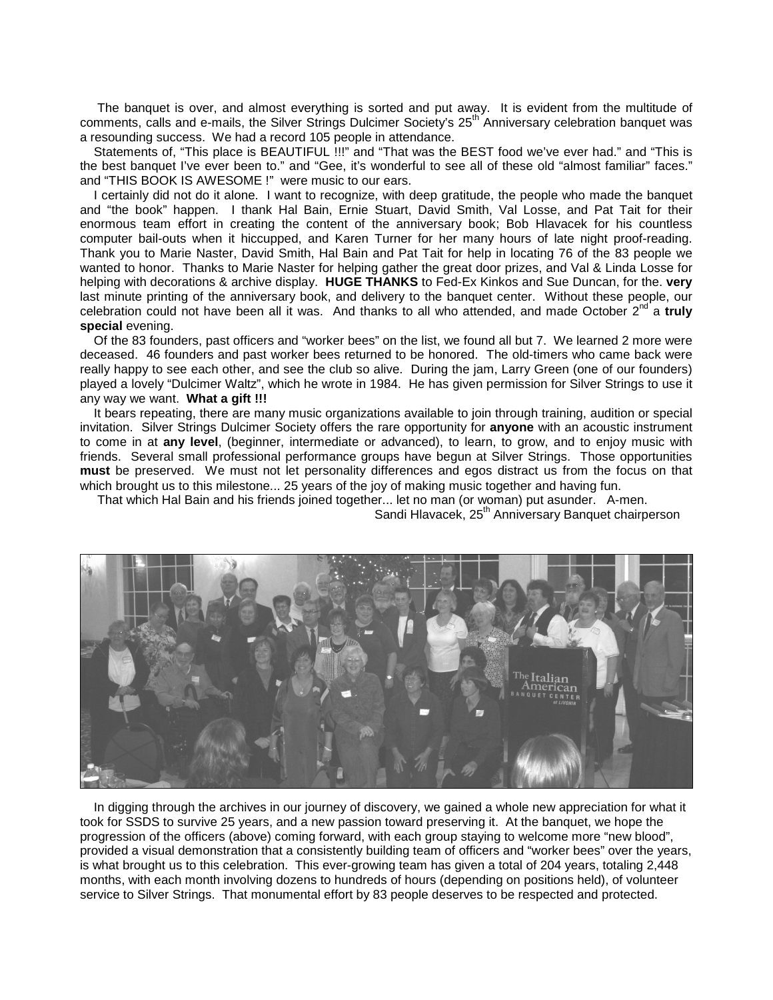The banquet is over, and almost everything is sorted and put away. It is evident from the multitude of comments, calls and e-mails, the Silver Strings Dulcimer Society's 25<sup>th</sup> Anniversary celebration banquet was a resounding success. We had a record 105 people in attendance.

Statements of, "This place is BEAUTIFUL !!!" and "That was the BEST food we've ever had." and "This is the best banquet I've ever been to." and "Gee, it's wonderful to see all of these old "almost familiar" faces." and "THIS BOOK IS AWESOME !" were music to our ears.

I certainly did not do it alone. I want to recognize, with deep gratitude, the people who made the banquet and "the book" happen. I thank Hal Bain, Ernie Stuart, David Smith, Val Losse, and Pat Tait for their enormous team effort in creating the content of the anniversary book; Bob Hlavacek for his countless computer bail-outs when it hiccupped, and Karen Turner for her many hours of late night proof-reading. Thank you to Marie Naster, David Smith, Hal Bain and Pat Tait for help in locating 76 of the 83 people we wanted to honor. Thanks to Marie Naster for helping gather the great door prizes, and Val & Linda Losse for helping with decorations & archive display. **HUGE THANKS** to Fed-Ex Kinkos and Sue Duncan, for the. **very** last minute printing of the anniversary book, and delivery to the banquet center. Without these people, our celebration could not have been all it was. And thanks to all who attended, and made October 2<sup>nd</sup> a truly **special** evening.

Of the 83 founders, past officers and "worker bees" on the list, we found all but 7. We learned 2 more were deceased. 46 founders and past worker bees returned to be honored. The old-timers who came back were really happy to see each other, and see the club so alive. During the jam, Larry Green (one of our founders) played a lovely "Dulcimer Waltz", which he wrote in 1984. He has given permission for Silver Strings to use it any way we want. **What a gift !!!**

It bears repeating, there are many music organizations available to join through training, audition or special invitation. Silver Strings Dulcimer Society offers the rare opportunity for **anyone** with an acoustic instrument to come in at **any level**, (beginner, intermediate or advanced), to learn, to grow, and to enjoy music with friends. Several small professional performance groups have begun at Silver Strings. Those opportunities **must** be preserved. We must not let personality differences and egos distract us from the focus on that which brought us to this milestone... 25 years of the joy of making music together and having fun.

That which Hal Bain and his friends joined together... let no man (or woman) put asunder. A-men.

Sandi Hlavacek, 25<sup>th</sup> Anniversary Banquet chairperson



In digging through the archives in our journey of discovery, we gained a whole new appreciation for what it took for SSDS to survive 25 years, and a new passion toward preserving it. At the banquet, we hope the progression of the officers (above) coming forward, with each group staying to welcome more "new blood", provided a visual demonstration that a consistently building team of officers and "worker bees" over the years, is what brought us to this celebration. This ever-growing team has given a total of 204 years, totaling 2,448 months, with each month involving dozens to hundreds of hours (depending on positions held), of volunteer service to Silver Strings. That monumental effort by 83 people deserves to be respected and protected.